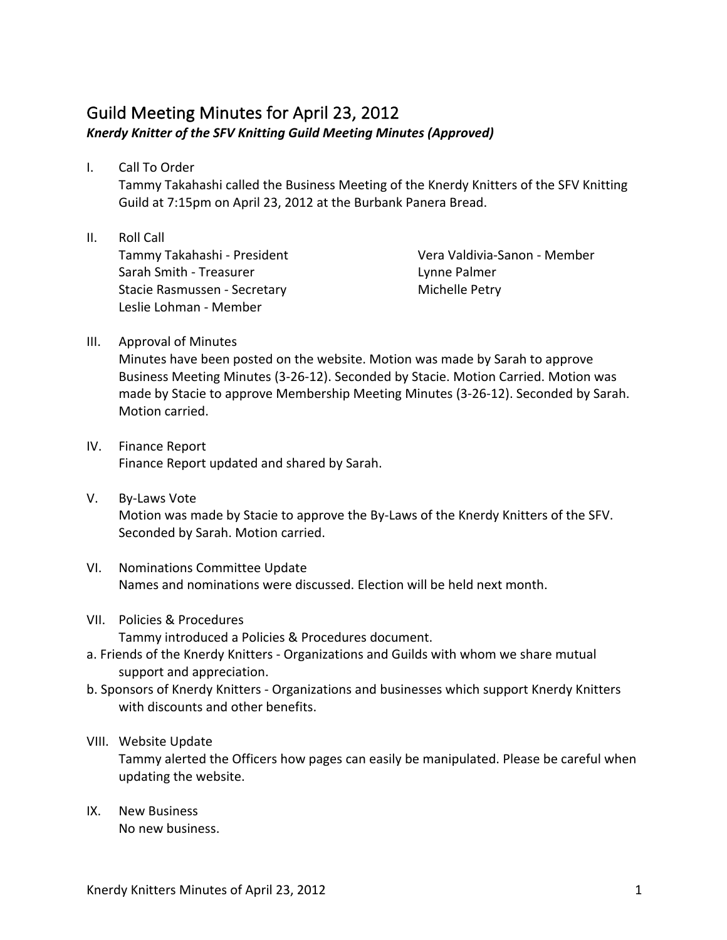## Guild Meeting Minutes for April 23, 2012 Knerdy Knitter of the SFV Knitting Guild Meeting Minutes (Approved)

I. Call To Order

Tammy Takahashi called the Business Meeting of the Knerdy Knitters of the SFV Knitting Guild at 7:15pm on April 23, 2012 at the Burbank Panera Bread.

II. Roll Call Tammy Takahashi - President Sarah Smith - Treasurer Stacie Rasmussen - Secretary Leslie Lohman - Member

Vera Valdivia-Sanon - Member Lynne Palmer Michelle Petry

III. Approval of Minutes

Minutes have been posted on the website. Motion was made by Sarah to approve Business Meeting Minutes (3-26-12). Seconded by Stacie. Motion Carried. Motion was made by Stacie to approve Membership Meeting Minutes (3-26-12). Seconded by Sarah. Motion carried.

- IV. Finance Report Finance Report updated and shared by Sarah.
- V. By-Laws Vote Motion was made by Stacie to approve the By-Laws of the Knerdy Knitters of the SFV. Seconded by Sarah. Motion carried.
- VI. Nominations Committee Update Names and nominations were discussed. Election will be held next month.
- VII. Policies & Procedures Tammy introduced a Policies & Procedures document.
- a. Friends of the Knerdy Knitters Organizations and Guilds with whom we share mutual support and appreciation.
- b. Sponsors of Knerdy Knitters Organizations and businesses which support Knerdy Knitters with discounts and other benefits.
- VIII. Website Update Tammy alerted the Officers how pages can easily be manipulated. Please be careful when updating the website.
- IX. New Business No new business.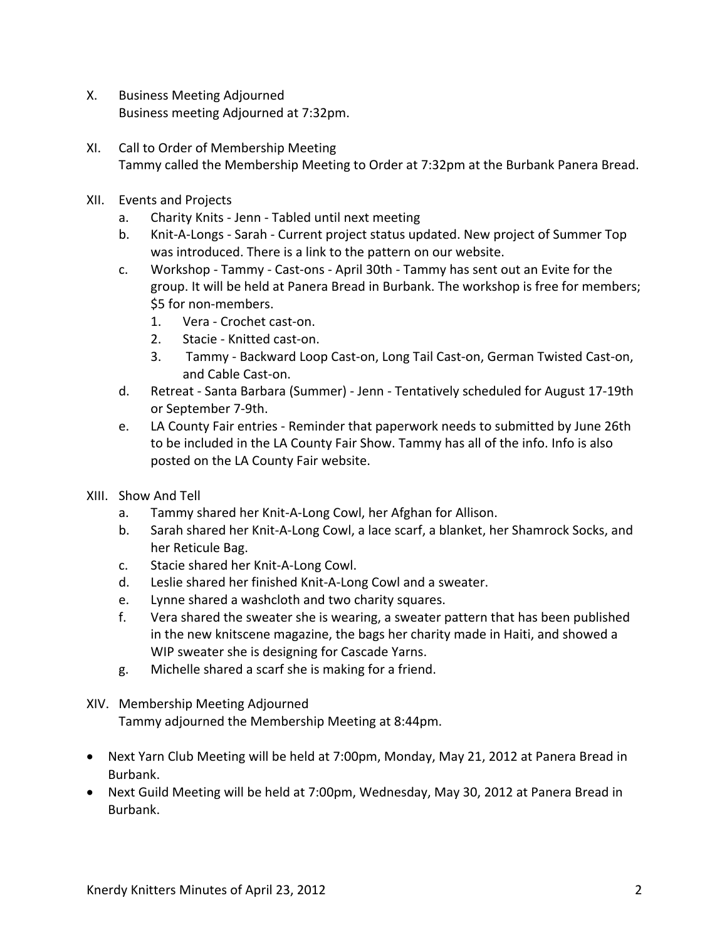- X. Business Meeting Adjourned Business meeting Adjourned at 7:32pm.
- XI. Call to Order of Membership Meeting Tammy called the Membership Meeting to Order at 7:32pm at the Burbank Panera Bread.
- XII. Events and Projects
	- a. Charity Knits Jenn Tabled until next meeting
	- b. Knit-A-Longs Sarah Current project status updated. New project of Summer Top was introduced. There is a link to the pattern on our website.
	- c. Workshop Tammy Cast-ons April 30th Tammy has sent out an Evite for the group. It will be held at Panera Bread in Burbank. The workshop is free for members; \$5 for non-members.
		- 1. Vera Crochet cast-on.
		- 2. Stacie Knitted cast-on.
		- 3. Tammy Backward Loop Cast-on, Long Tail Cast-on, German Twisted Cast-on, and Cable Cast-on.
	- d. Retreat Santa Barbara (Summer) Jenn Tentatively scheduled for August 17-19th or September 7-9th.
	- e. LA County Fair entries Reminder that paperwork needs to submitted by June 26th to be included in the LA County Fair Show. Tammy has all of the info. Info is also posted on the LA County Fair website.
- XIII. Show And Tell
	- a. Tammy shared her Knit-A-Long Cowl, her Afghan for Allison.
	- b. Sarah shared her Knit-A-Long Cowl, a lace scarf, a blanket, her Shamrock Socks, and her Reticule Bag.
	- c. Stacie shared her Knit-A-Long Cowl.
	- d. Leslie shared her finished Knit-A-Long Cowl and a sweater.
	- e. Lynne shared a washcloth and two charity squares.
	- f. Vera shared the sweater she is wearing, a sweater pattern that has been published in the new knitscene magazine, the bags her charity made in Haiti, and showed a WIP sweater she is designing for Cascade Yarns.
	- g. Michelle shared a scarf she is making for a friend.
- XIV. Membership Meeting Adjourned

Tammy adjourned the Membership Meeting at 8:44pm.

- Next Yarn Club Meeting will be held at 7:00pm, Monday, May 21, 2012 at Panera Bread in Burbank.
- Next Guild Meeting will be held at 7:00pm, Wednesday, May 30, 2012 at Panera Bread in Burbank.